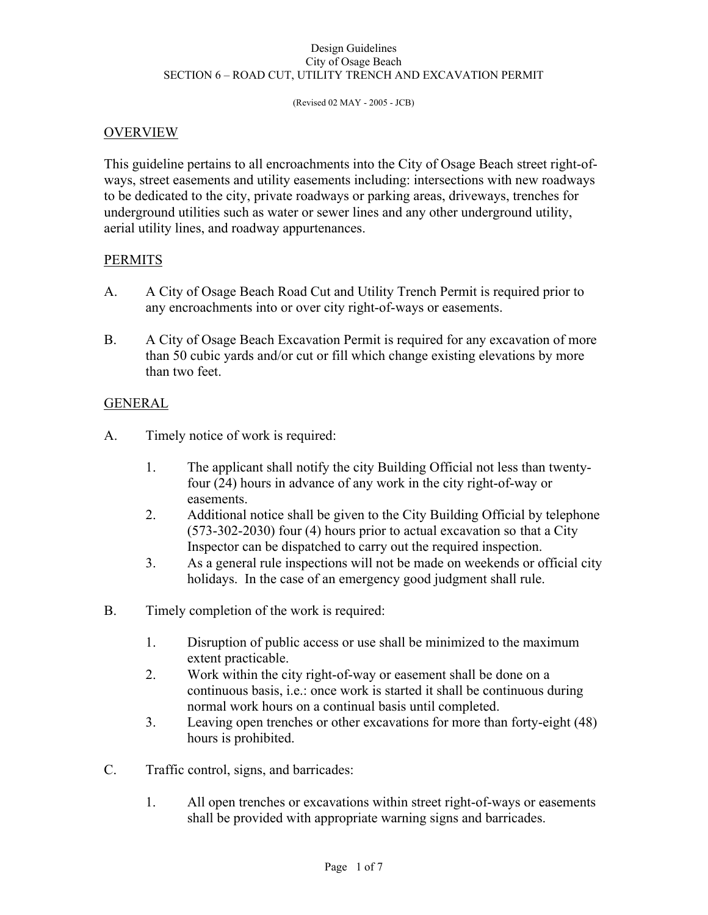#### Design Guidelines City of Osage Beach SECTION 6 – ROAD CUT, UTILITY TRENCH AND EXCAVATION PERMIT

(Revised 02 MAY - 2005 - JCB)

## OVERVIEW

This guideline pertains to all encroachments into the City of Osage Beach street right-ofways, street easements and utility easements including: intersections with new roadways to be dedicated to the city, private roadways or parking areas, driveways, trenches for underground utilities such as water or sewer lines and any other underground utility, aerial utility lines, and roadway appurtenances.

### PERMITS

- A. A City of Osage Beach Road Cut and Utility Trench Permit is required prior to any encroachments into or over city right-of-ways or easements.
- B. A City of Osage Beach Excavation Permit is required for any excavation of more than 50 cubic yards and/or cut or fill which change existing elevations by more than two feet.

### GENERAL

- A. Timely notice of work is required:
	- 1. The applicant shall notify the city Building Official not less than twenty four (24) hours in advance of any work in the city right-of-way or easements.
	- 2. Additional notice shall be given to the City Building Official by telephone (573-302-2030) four (4) hours prior to actual excavation so that a City Inspector can be dispatched to carry out the required inspection.
	- 3. As a general rule inspections will not be made on weekends or official city holidays. In the case of an emergency good judgment shall rule.
- B. Timely completion of the work is required:
	- 1. Disruption of public access or use shall be minimized to the maximum extent practicable.
	- 2. Work within the city right-of-way or easement shall be done on a continuous basis, i.e.: once work is started it shall be continuous during normal work hours on a continual basis until completed.
	- 3. Leaving open trenches or other excavations for more than forty-eight (48) hours is prohibited.
- C. Traffic control, signs, and barricades:
	- 1. All open trenches or excavations within street right-of-ways or easements shall be provided with appropriate warning signs and barricades.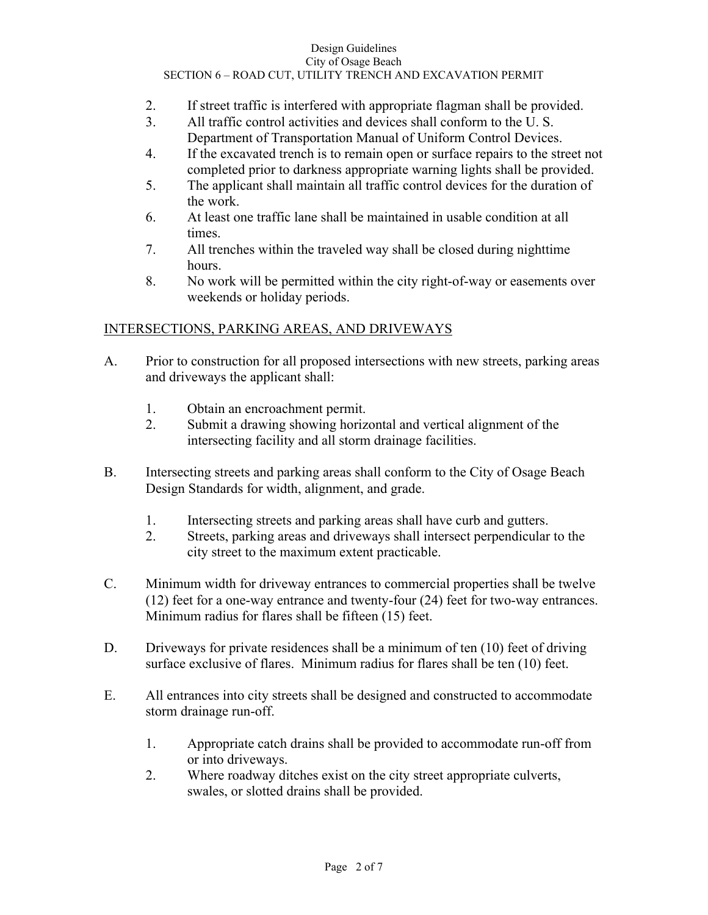#### Design Guidelines City of Osage Beach SECTION 6 – ROAD CUT, UTILITY TRENCH AND EXCAVATION PERMIT

- 2. If street traffic is interfered with appropriate flagman shall be provided.
- 3. All traffic control activities and devices shall conform to the U. S. Department of Transportation Manual of Uniform Control Devices.
- 4. If the excavated trench is to remain open or surface repairs to the street not completed prior to darkness appropriate warning lights shall be provided.
- 5. The applicant shall maintain all traffic control devices for the duration of the work.
- 6. At least one traffic lane shall be maintained in usable condition at all times.
- 7. All trenches within the traveled way shall be closed during nighttime hours.
- 8. No work will be permitted within the city right-of-way or easements over weekends or holiday periods.

## INTERSECTIONS, PARKING AREAS, AND DRIVEWAYS

- A. Prior to construction for all proposed intersections with new streets, parking areas and driveways the applicant shall:
	- 1. Obtain an encroachment permit.
	- 2. Submit a drawing showing horizontal and vertical alignment of the intersecting facility and all storm drainage facilities.
- B. Intersecting streets and parking areas shall conform to the City of Osage Beach Design Standards for width, alignment, and grade.
	- 1. Intersecting streets and parking areas shall have curb and gutters.
	- 2. Streets, parking areas and driveways shall intersect perpendicular to the city street to the maximum extent practicable.
- C. Minimum width for driveway entrances to commercial properties shall be twelve (12) feet for a one-way entrance and twenty-four (24) feet for two-way entrances. Minimum radius for flares shall be fifteen (15) feet.
- D. Driveways for private residences shall be a minimum of ten (10) feet of driving surface exclusive of flares. Minimum radius for flares shall be ten (10) feet.
- E. All entrances into city streets shall be designed and constructed to accommodate storm drainage run-off.
	- 1. Appropriate catch drains shall be provided to accommodate run-off from or into driveways.
	- 2. Where roadway ditches exist on the city street appropriate culverts, swales, or slotted drains shall be provided.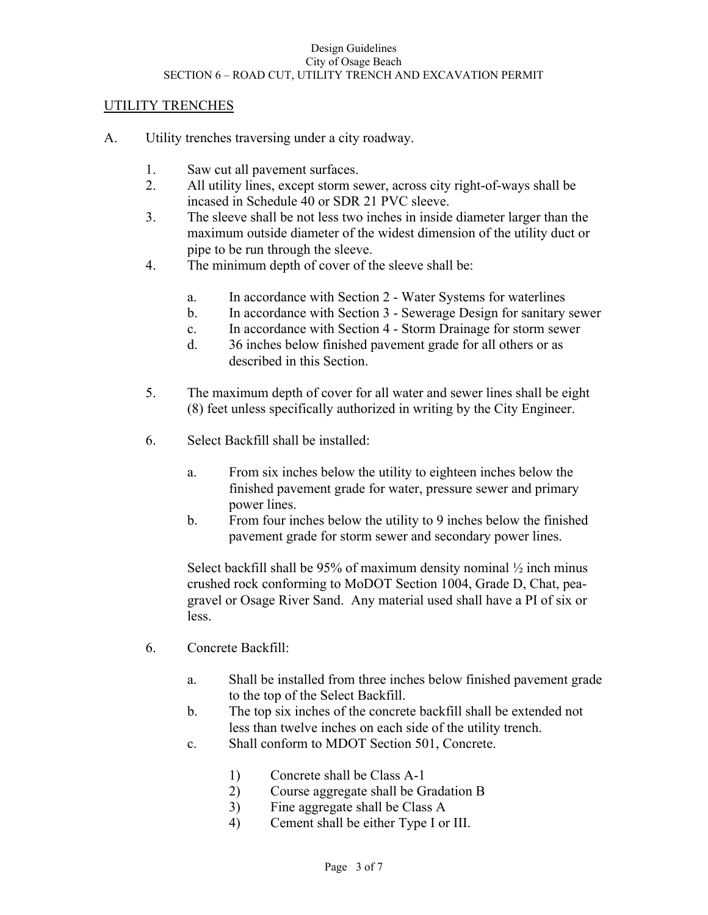## UTILITY TRENCHES

- A. Utility trenches traversing under a city roadway.
	- 1. Saw cut all pavement surfaces.
	- 2. All utility lines, except storm sewer, across city right-of-ways shall be incased in Schedule 40 or SDR 21 PVC sleeve.
	- 3. The sleeve shall be not less two inches in inside diameter larger than the maximum outside diameter of the widest dimension of the utility duct or pipe to be run through the sleeve.
	- 4. The minimum depth of cover of the sleeve shall be:
		- a. In accordance with Section 2 Water Systems for waterlines
		- b. In accordance with Section 3 Sewerage Design for sanitary sewer
		- c. In accordance with Section 4 Storm Drainage for storm sewer
		- d. 36 inches below finished pavement grade for all others or as described in this Section.
	- 5. The maximum depth of cover for all water and sewer lines shall be eight (8) feet unless specifically authorized in writing by the City Engineer.
	- 6. Select Backfill shall be installed:
		- a. From six inches below the utility to eighteen inches below the finished pavement grade for water, pressure sewer and primary power lines.
		- b. From four inches below the utility to 9 inches below the finished pavement grade for storm sewer and secondary power lines.

Select backfill shall be 95% of maximum density nominal  $\frac{1}{2}$  inch minus crushed rock conforming to MoDOT Section 1004, Grade D, Chat, pea gravel or Osage River Sand. Any material used shall have a PI of six or less.

- 6. Concrete Backfill:
	- a. Shall be installed from three inches below finished pavement grade to the top of the Select Backfill.
	- b. The top six inches of the concrete backfill shall be extended not less than twelve inches on each side of the utility trench.
	- c. Shall conform to MDOT Section 501, Concrete.
		- 1) Concrete shall be Class A-1
		- 2) Course aggregate shall be Gradation B
		- 3) Fine aggregate shall be Class A
		- 4) Cement shall be either Type I or III.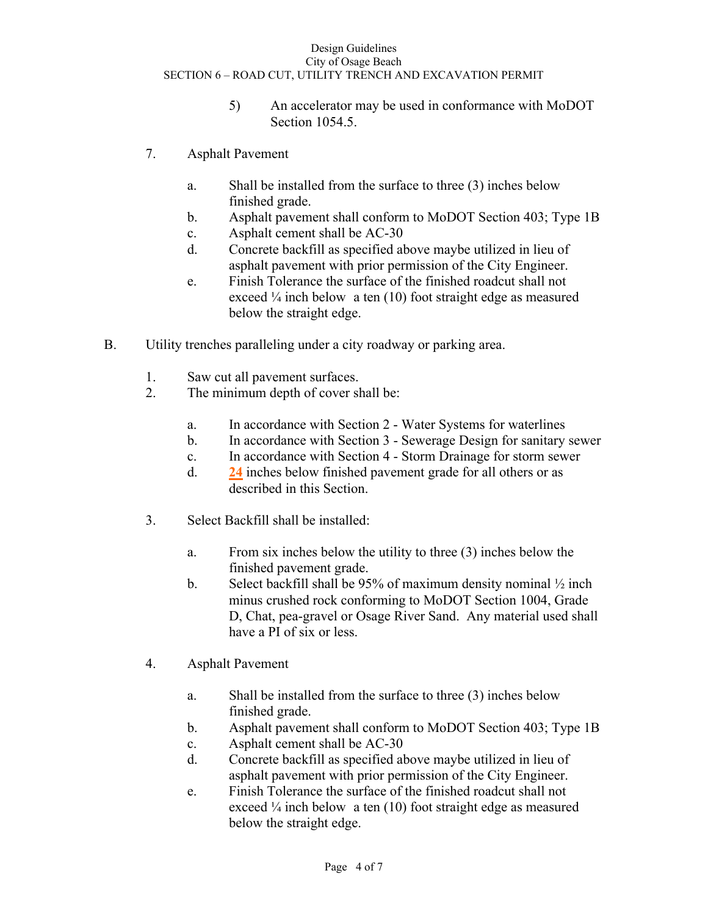#### Design Guidelines City of Osage Beach SECTION 6 – ROAD CUT, UTILITY TRENCH AND EXCAVATION PERMIT

- 5) An accelerator may be used in conformance with MoDOT Section 1054.5.
- 7. Asphalt Pavement
	- a. Shall be installed from the surface to three (3) inches below finished grade.
	- b. Asphalt pavement shall conform to MoDOT Section 403; Type 1B
	- c. Asphalt cement shall be AC-30
	- d. Concrete backfill as specified above maybe utilized in lieu of asphalt pavement with prior permission of the City Engineer.
	- e. Finish Tolerance the surface of the finished roadcut shall not exceed 1/4 inch below a ten (10) foot straight edge as measured below the straight edge.
- B. Utility trenches paralleling under a city roadway or parking area.
	- 1. Saw cut all pavement surfaces.
	- 2. The minimum depth of cover shall be:
		- a. In accordance with Section 2 Water Systems for waterlines
		- b. In accordance with Section 3 Sewerage Design for sanitary sewer
		- c. In accordance with Section 4 Storm Drainage for storm sewer
		- d. **24** inches below finished pavement grade for all others or as described in this Section.
	- 3. Select Backfill shall be installed:
		- a. From six inches below the utility to three (3) inches below the finished pavement grade.
		- b. Select backfill shall be 95% of maximum density nominal ½ inch minus crushed rock conforming to MoDOT Section 1004, Grade D, Chat, pea-gravel or Osage River Sand. Any material used shall have a PI of six or less.
	- 4. Asphalt Pavement
		- a. Shall be installed from the surface to three (3) inches below finished grade.
		- b. Asphalt pavement shall conform to MoDOT Section 403; Type 1B
		- c. Asphalt cement shall be AC-30
		- d. Concrete backfill as specified above maybe utilized in lieu of asphalt pavement with prior permission of the City Engineer.
		- e. Finish Tolerance the surface of the finished roadcut shall not exceed 1/4 inch below a ten (10) foot straight edge as measured below the straight edge.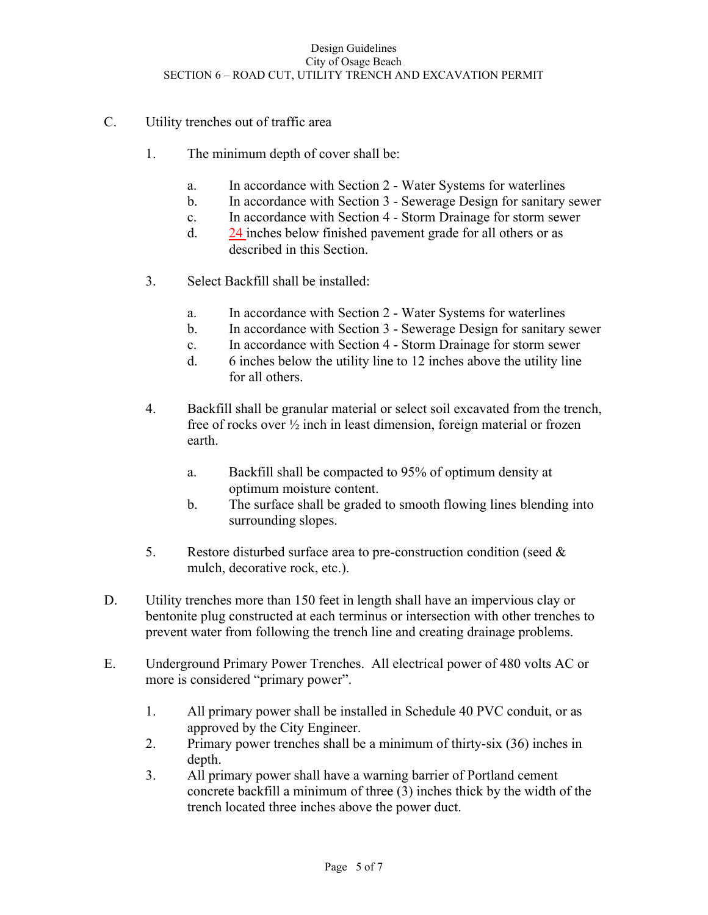- C. Utility trenches out of traffic area
	- 1. The minimum depth of cover shall be:
		- a. In accordance with Section 2 Water Systems for waterlines
		- b. In accordance with Section 3 Sewerage Design for sanitary sewer
		- c. In accordance with Section 4 Storm Drainage for storm sewer
		- d. 24 inches below finished pavement grade for all others or as described in this Section.
	- 3. Select Backfill shall be installed:
		- a. In accordance with Section 2 Water Systems for waterlines
		- b. In accordance with Section 3 Sewerage Design for sanitary sewer
		- c. In accordance with Section 4 Storm Drainage for storm sewer
		- d. 6 inches below the utility line to 12 inches above the utility line for all others.
	- 4. Backfill shall be granular material or select soil excavated from the trench, free of rocks over ½ inch in least dimension, foreign material or frozen earth.
		- a. Backfill shall be compacted to 95% of optimum density at optimum moisture content.
		- b. The surface shall be graded to smooth flowing lines blending into surrounding slopes.
	- 5. Restore disturbed surface area to pre-construction condition (seed  $\&$ mulch, decorative rock, etc.).
- D. Utility trenches more than 150 feet in length shall have an impervious clay or bentonite plug constructed at each terminus or intersection with other trenches to prevent water from following the trench line and creating drainage problems.
- E. Underground Primary Power Trenches. All electrical power of 480 volts AC or more is considered "primary power".
	- 1. All primary power shall be installed in Schedule 40 PVC conduit, or as approved by the City Engineer.
	- 2. Primary power trenches shall be a minimum of thirty-six (36) inches in depth.
	- 3. All primary power shall have a warning barrier of Portland cement concrete backfill a minimum of three (3) inches thick by the width of the trench located three inches above the power duct.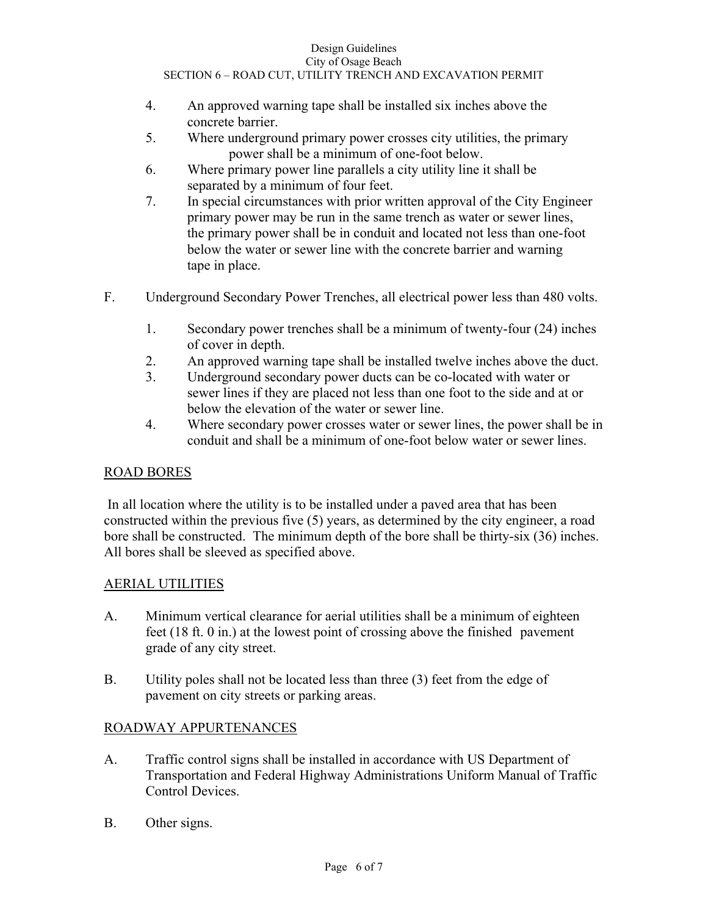- 4. An approved warning tape shall be installed six inches above the concrete barrier.
- 5. Where underground primary power crosses city utilities, the primary power shall be a minimum of one-foot below.
- 6. Where primary power line parallels a city utility line it shall be separated by a minimum of four feet.
- 7. In special circumstances with prior written approval of the City Engineer primary power may be run in the same trench as water or sewer lines, the primary power shall be in conduit and located not less than one-foot below the water or sewer line with the concrete barrier and warning tape in place.
- F. Underground Secondary Power Trenches, all electrical power less than 480 volts.
	- 1. Secondary power trenches shall be a minimum of twenty-four (24) inches of cover in depth.
	- 2. An approved warning tape shall be installed twelve inches above the duct.
	- 3. Underground secondary power ducts can be co-located with water or sewer lines if they are placed not less than one foot to the side and at or below the elevation of the water or sewer line.
	- 4. Where secondary power crosses water or sewer lines, the power shall be in conduit and shall be a minimum of one-foot below water or sewer lines.

# ROAD BORES

 In all location where the utility is to be installed under a paved area that has been constructed within the previous five (5) years, as determined by the city engineer, a road bore shall be constructed. The minimum depth of the bore shall be thirty-six (36) inches. All bores shall be sleeved as specified above.

# AERIAL UTILITIES

- A. Minimum vertical clearance for aerial utilities shall be a minimum of eighteen feet (18 ft. 0 in.) at the lowest point of crossing above the finished pavement grade of any city street.
- B. Utility poles shall not be located less than three (3) feet from the edge of pavement on city streets or parking areas.

# ROADWAY APPURTENANCES

- A. Traffic control signs shall be installed in accordance with US Department of Transportation and Federal Highway Administrations Uniform Manual of Traffic Control Devices.
- B. Other signs.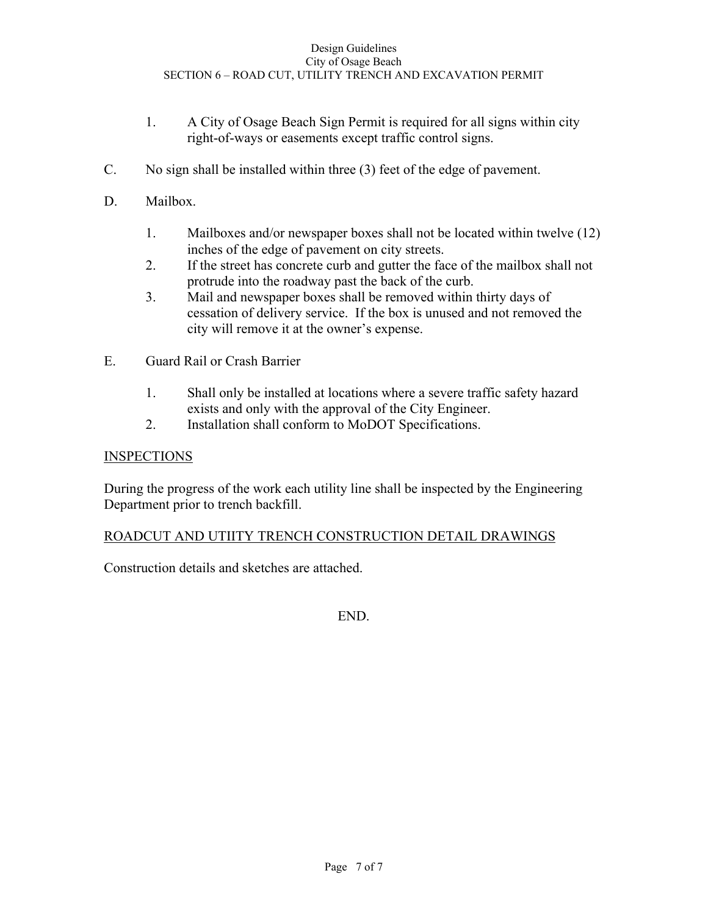- 1. A City of Osage Beach Sign Permit is required for all signs within city right-of-ways or easements except traffic control signs.
- C. No sign shall be installed within three (3) feet of the edge of pavement.
- D. Mailbox.
	- 1. Mailboxes and/or newspaper boxes shall not be located within twelve (12) inches of the edge of pavement on city streets.
	- 2. If the street has concrete curb and gutter the face of the mailbox shall not protrude into the roadway past the back of the curb.
	- 3. Mail and newspaper boxes shall be removed within thirty days of cessation of delivery service. If the box is unused and not removed the city will remove it at the owner's expense.
- E. Guard Rail or Crash Barrier
	- 1. Shall only be installed at locations where a severe traffic safety hazard exists and only with the approval of the City Engineer.
	- 2. Installation shall conform to MoDOT Specifications.

## **INSPECTIONS**

During the progress of the work each utility line shall be inspected by the Engineering Department prior to trench backfill.

## ROADCUT AND UTIITY TRENCH CONSTRUCTION DETAIL DRAWINGS

Construction details and sketches are attached.

END.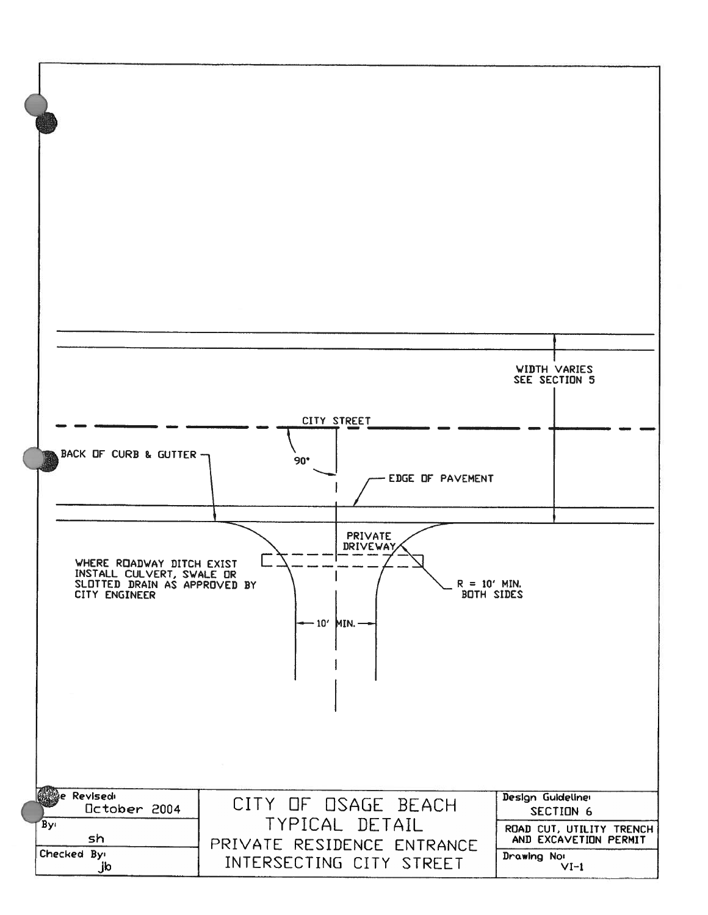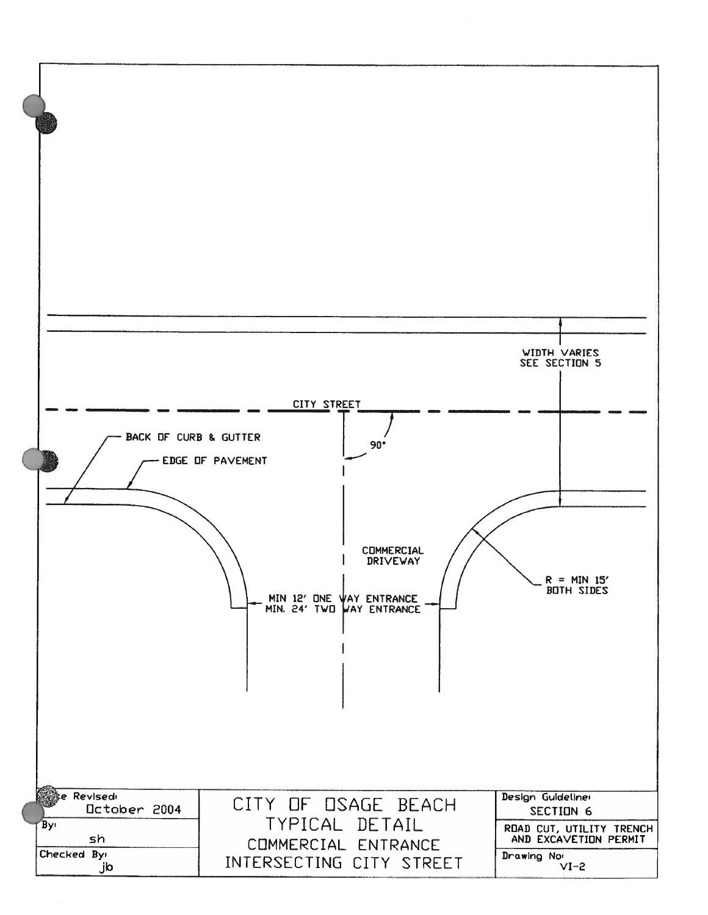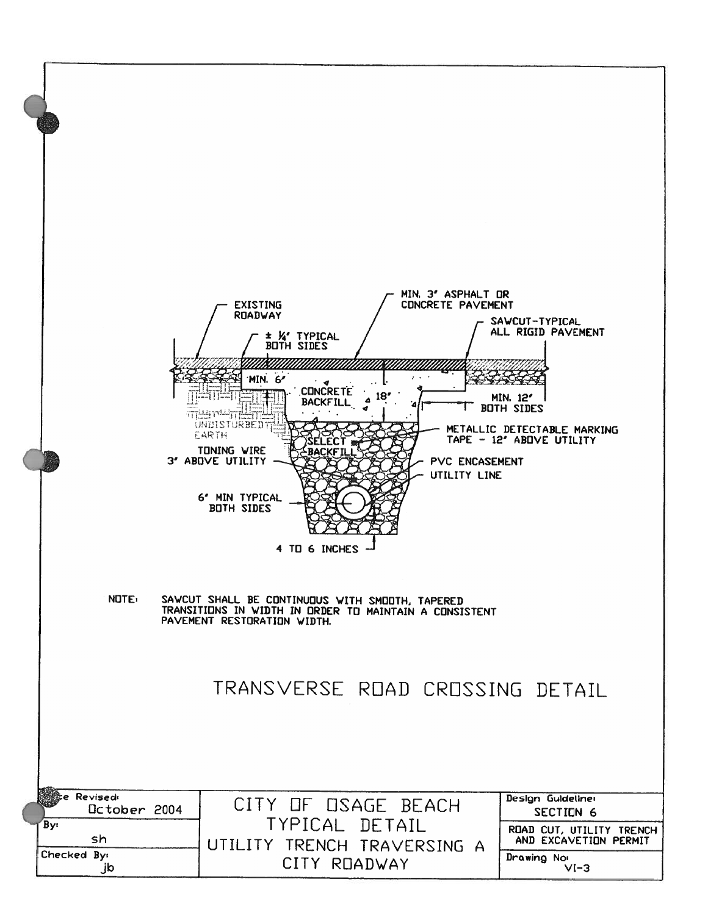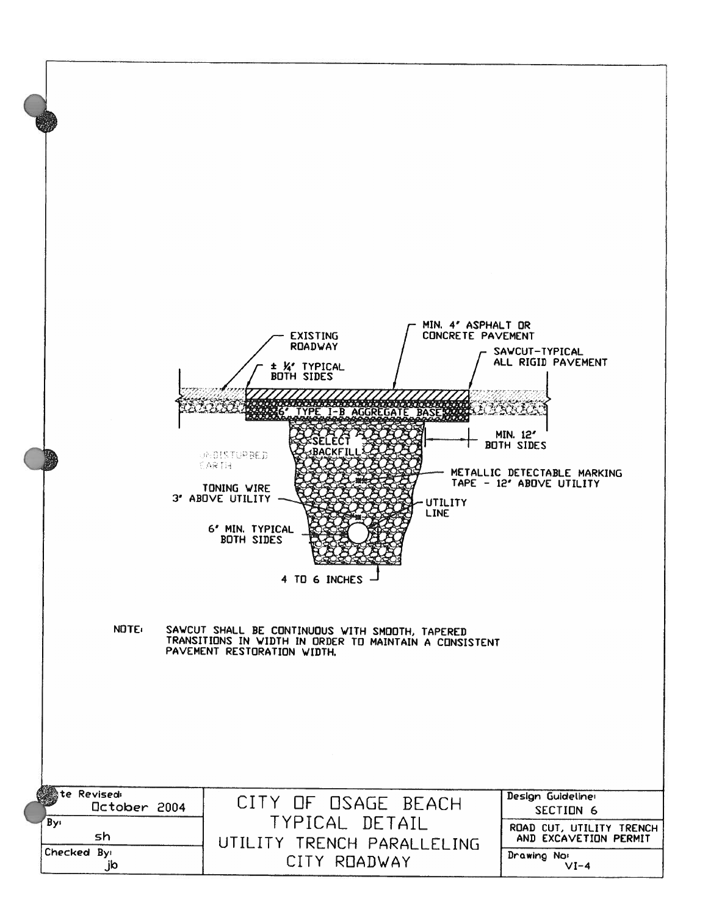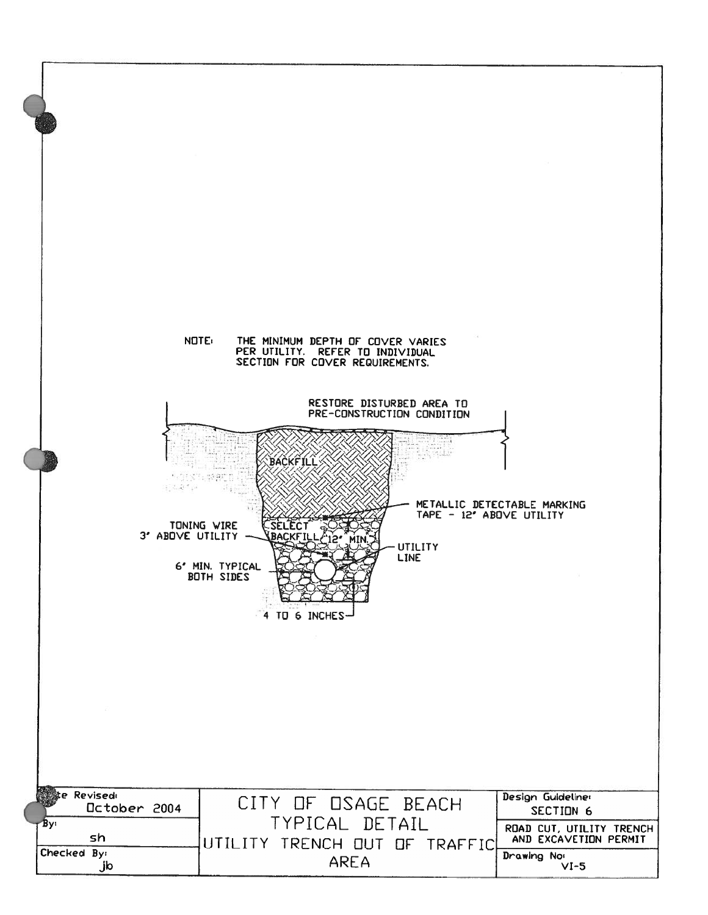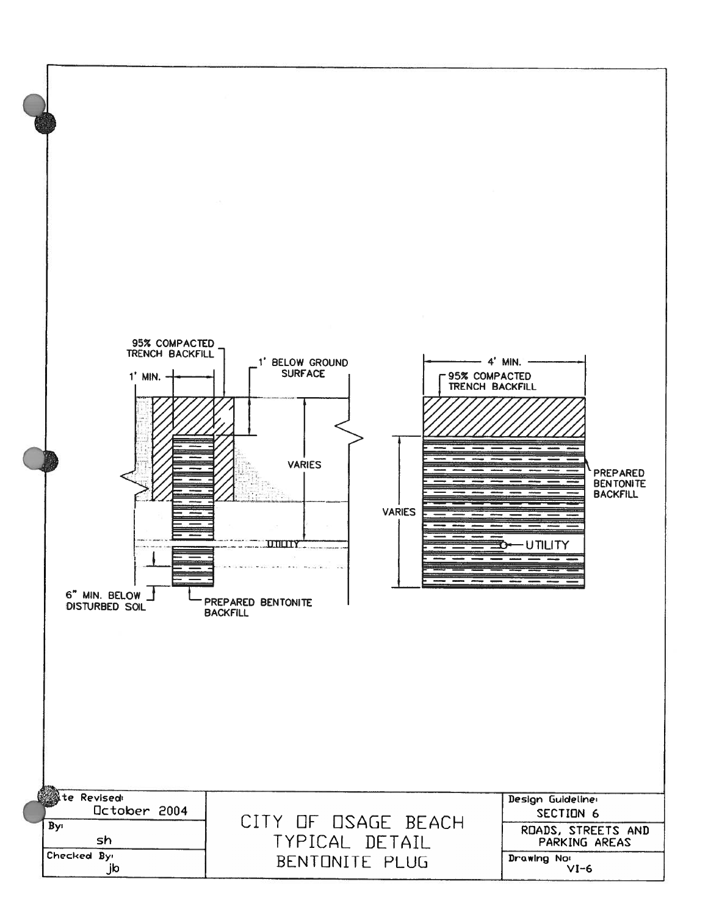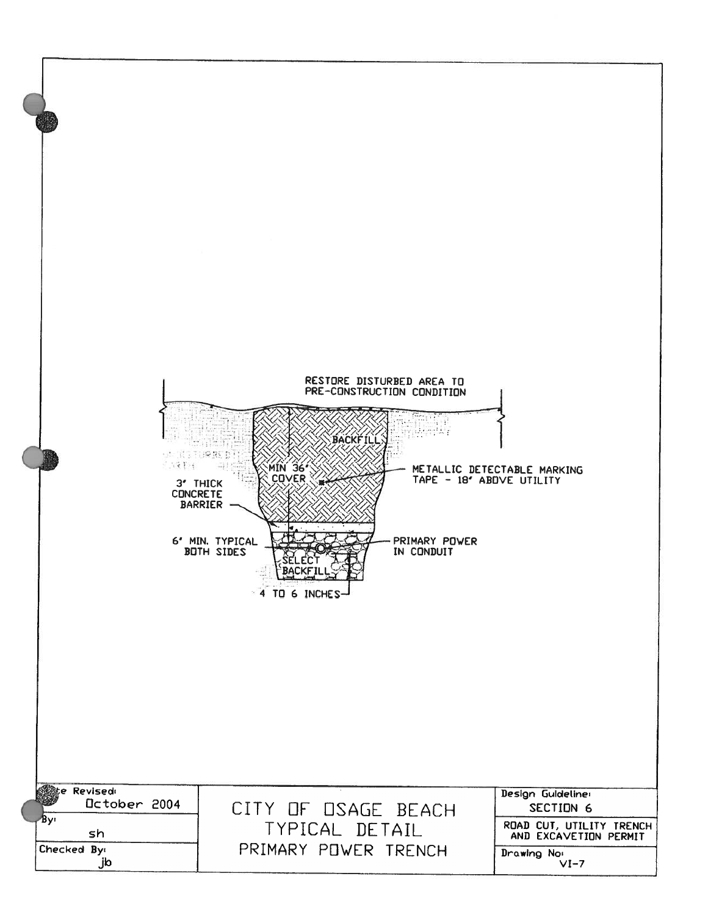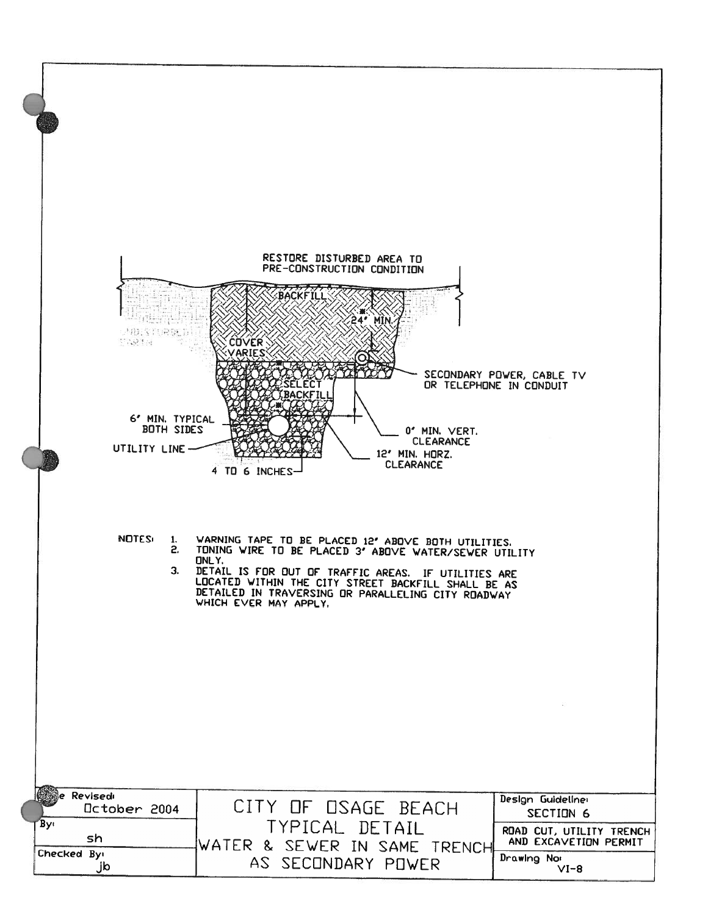![](_page_14_Figure_0.jpeg)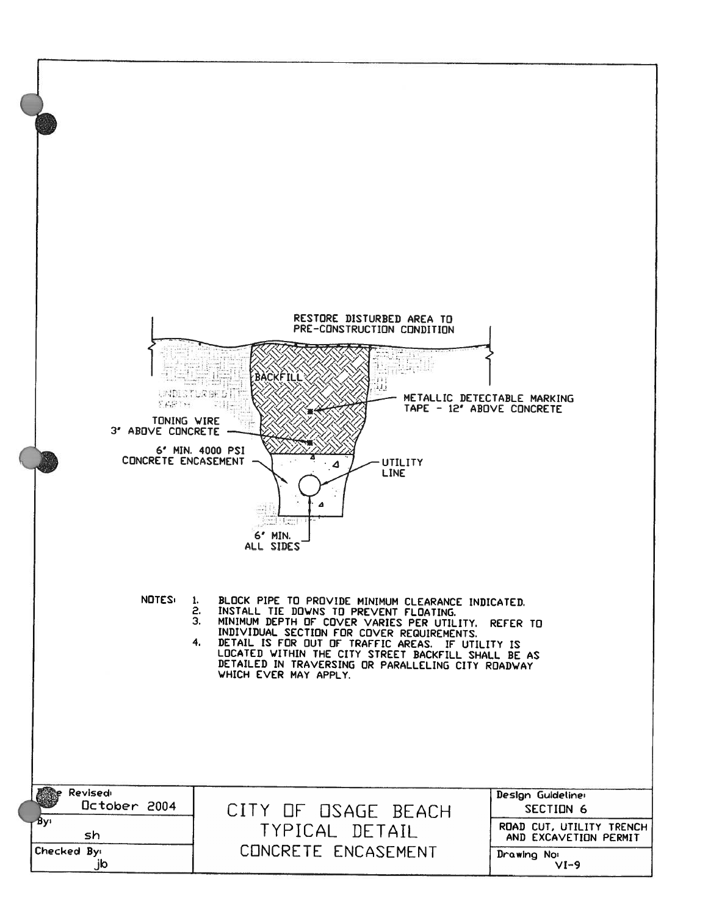![](_page_15_Figure_0.jpeg)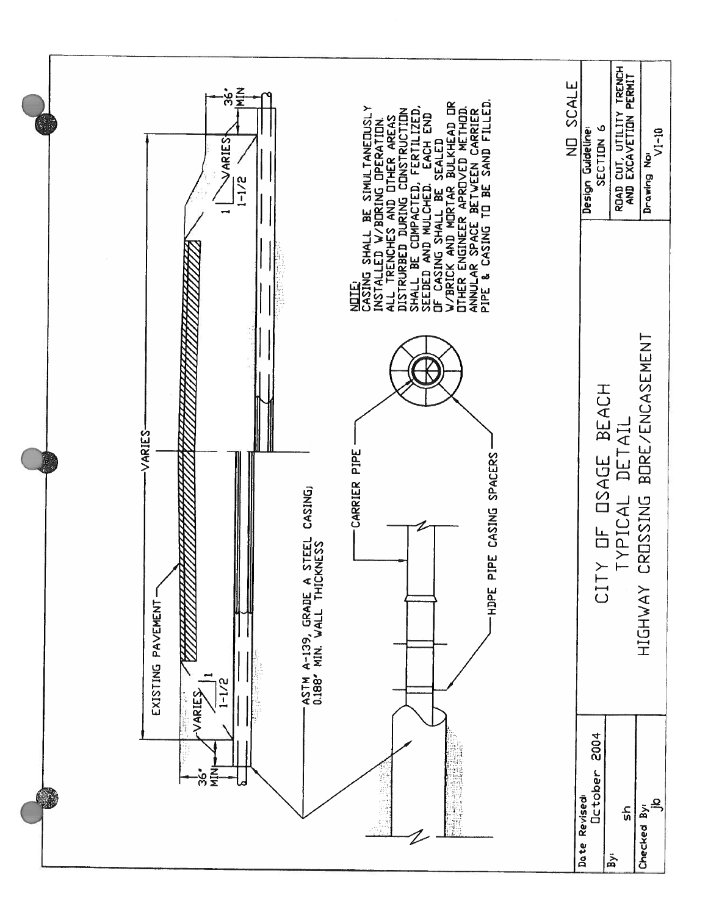![](_page_16_Figure_0.jpeg)